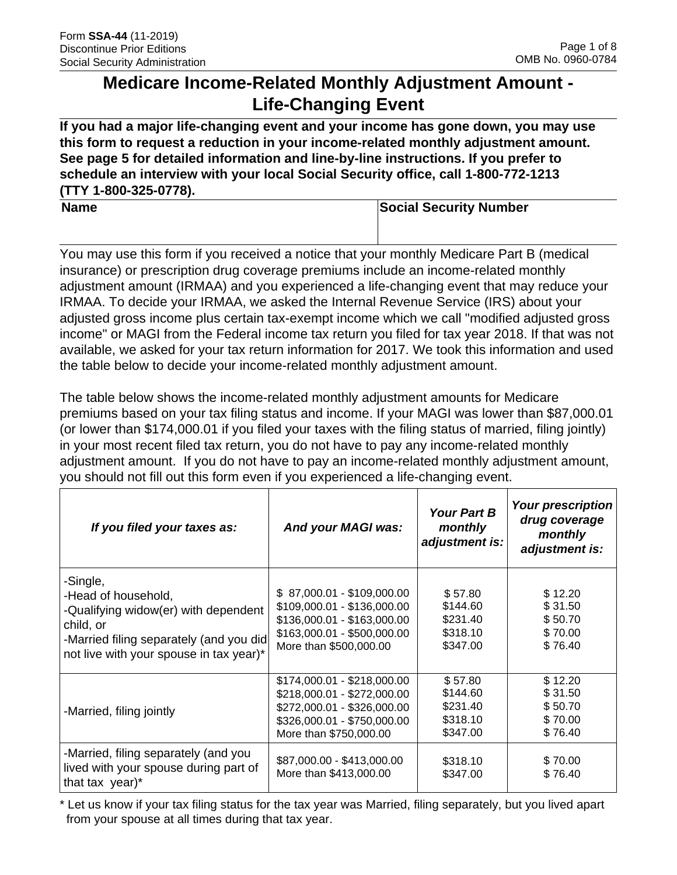# **Medicare Income-Related Monthly Adjustment Amount - Life-Changing Event**

**If you had a major life-changing event and your income has gone down, you may use this form to request a reduction in your income-related monthly adjustment amount. See page 5 for detailed information and line-by-line instructions. If you prefer to schedule an interview with your local Social Security office, call 1-800-772-1213 (TTY 1-800-325-0778).** 

**Name Social Security Number Number Social Security Number** 

You may use this form if you received a notice that your monthly Medicare Part B (medical insurance) or prescription drug coverage premiums include an income-related monthly adjustment amount (IRMAA) and you experienced a life-changing event that may reduce your IRMAA. To decide your IRMAA, we asked the Internal Revenue Service (IRS) about your adjusted gross income plus certain tax-exempt income which we call "modified adjusted gross income" or MAGI from the Federal income tax return you filed for tax year 2018. If that was not available, we asked for your tax return information for 2017. We took this information and used the table below to decide your income-related monthly adjustment amount.

The table below shows the income-related monthly adjustment amounts for Medicare premiums based on your tax filing status and income. If your MAGI was lower than \$87,000.01 (or lower than \$174,000.01 if you filed your taxes with the filing status of married, filing jointly) in your most recent filed tax return, you do not have to pay any income-related monthly adjustment amount. If you do not have to pay an income-related monthly adjustment amount, you should not fill out this form even if you experienced a life-changing event.

| If you filed your taxes as:                                                                                                                                                | And your MAGI was:                                                                                                                                 | <b>Your Part B</b><br>monthly<br>adjustment is:         | <b>Your prescription</b><br>drug coverage<br>monthly<br>adjustment is: |
|----------------------------------------------------------------------------------------------------------------------------------------------------------------------------|----------------------------------------------------------------------------------------------------------------------------------------------------|---------------------------------------------------------|------------------------------------------------------------------------|
| -Single,<br>-Head of household,<br>-Qualifying widow(er) with dependent<br>child, or<br>-Married filing separately (and you did<br>not live with your spouse in tax year)* | \$87,000.01 - \$109,000.00<br>\$109,000.01 - \$136,000.00<br>\$136,000.01 - \$163,000.00<br>\$163,000.01 - \$500,000.00<br>More than \$500,000.00  | \$57.80<br>\$144.60<br>\$231.40<br>\$318.10<br>\$347.00 | \$12.20<br>\$31.50<br>\$50.70<br>\$70.00<br>\$76.40                    |
| -Married, filing jointly                                                                                                                                                   | \$174,000.01 - \$218,000.00<br>\$218,000.01 - \$272,000.00<br>\$272,000.01 - \$326,000.00<br>\$326,000.01 - \$750,000.00<br>More than \$750,000.00 | \$57.80<br>\$144.60<br>\$231.40<br>\$318.10<br>\$347.00 | \$12.20<br>\$31.50<br>\$50.70<br>\$70.00<br>\$76.40                    |
| -Married, filing separately (and you<br>lived with your spouse during part of<br>that tax year)*                                                                           | \$87,000.00 - \$413,000.00<br>More than \$413,000.00                                                                                               | \$318.10<br>\$347.00                                    | \$70.00<br>\$76.40                                                     |

\* Let us know if your tax filing status for the tax year was Married, filing separately, but you lived apart from your spouse at all times during that tax year.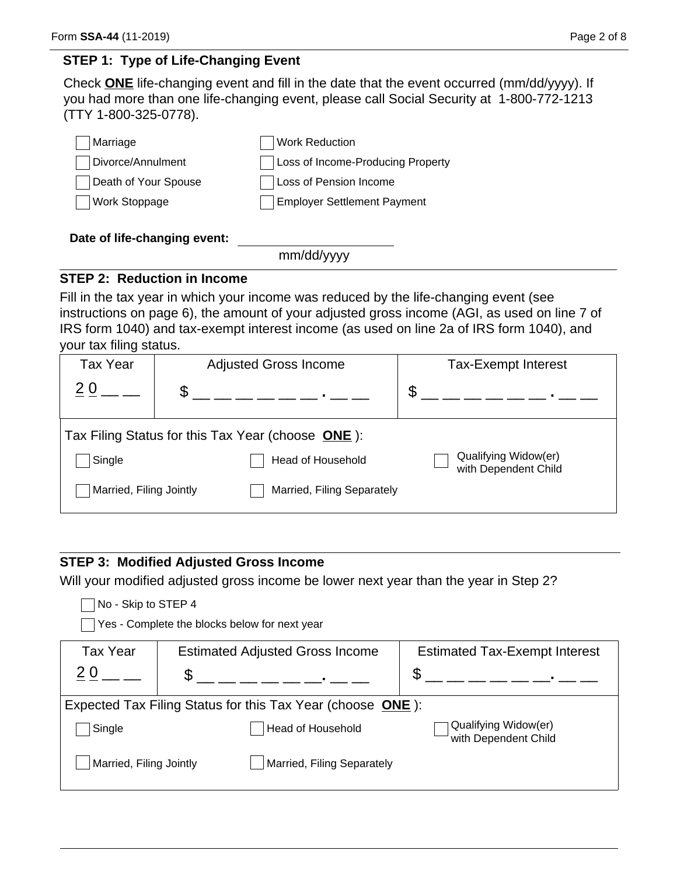## **STEP 1: Type of Life-Changing Event**

Check **ONE** life-changing event and fill in the date that the event occurred (mm/dd/yyyy). If you had more than one life-changing event, please call Social Security at 1-800-772-1213 (TTY 1-800-325-0778).

| Marriage             | <b>Work Reduction</b>              |
|----------------------|------------------------------------|
| Divorce/Annulment    | Loss of Income-Producing Property  |
| Death of Your Spouse | Loss of Pension Income             |
| <b>Work Stoppage</b> | <b>Employer Settlement Payment</b> |
|                      |                                    |

### **Date of life-changing event:**

mm/dd/yyyy

## **STEP 2: Reduction in Income**

Fill in the tax year in which your income was reduced by the life-changing event (see instructions on page 6), the amount of your adjusted gross income (AGI, as used on line 7 of IRS form 1040) and tax-exempt interest income (as used on line 2a of IRS form 1040), and your tax filing status.

| <b>Tax Year</b>         |                                                   | <b>Adjusted Gross Income</b> | <b>Tax-Exempt Interest</b>                   |
|-------------------------|---------------------------------------------------|------------------------------|----------------------------------------------|
|                         | \$                                                |                              | \$                                           |
|                         | Tax Filing Status for this Tax Year (choose ONE): |                              |                                              |
| Single                  |                                                   | <b>Head of Household</b>     | Qualifying Widow(er)<br>with Dependent Child |
| Married, Filing Jointly |                                                   | Married, Filing Separately   |                                              |

## **STEP 3: Modified Adjusted Gross Income**

Will your modified adjusted gross income be lower next year than the year in Step 2?

| No - Skip to STEP 4<br>Yes - Complete the blocks below for next year |     |                                        |                                              |
|----------------------------------------------------------------------|-----|----------------------------------------|----------------------------------------------|
| <b>Tax Year</b>                                                      |     | <b>Estimated Adjusted Gross Income</b> | <b>Estimated Tax-Exempt Interest</b>         |
| 2 <sub>0</sub>                                                       | \$. |                                        | S                                            |
| Expected Tax Filing Status for this Tax Year (choose ONE):           |     |                                        |                                              |
| Single                                                               |     | <b>Head of Household</b>               | Qualifying Widow(er)<br>with Dependent Child |
| Married, Filing Jointly                                              |     | Married, Filing Separately             |                                              |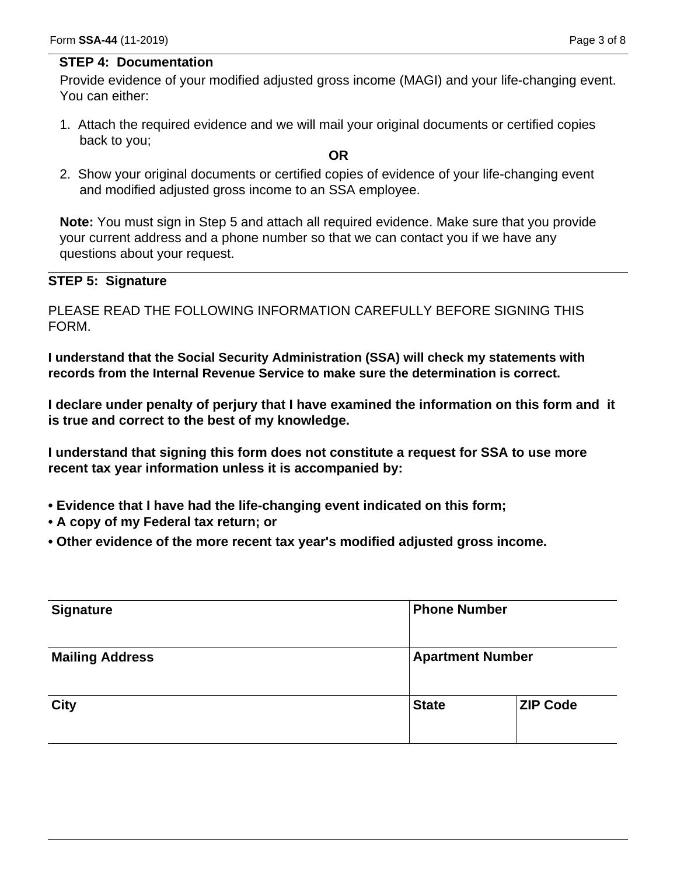#### **STEP 4: Documentation**

Provide evidence of your modified adjusted gross income (MAGI) and your life-changing event. You can either:

1. Attach the required evidence and we will mail your original documents or certified copies back to you;

#### **OR**

2. Show your original documents or certified copies of evidence of your life-changing event and modified adjusted gross income to an SSA employee.

**Note:** You must sign in Step 5 and attach all required evidence. Make sure that you provide your current address and a phone number so that we can contact you if we have any questions about your request.

#### **STEP 5: Signature**

PLEASE READ THE FOLLOWING INFORMATION CAREFULLY BEFORE SIGNING THIS FORM.

**I understand that the Social Security Administration (SSA) will check my statements with records from the Internal Revenue Service to make sure the determination is correct.** 

**I declare under penalty of perjury that I have examined the information on this form and it is true and correct to the best of my knowledge.** 

**I understand that signing this form does not constitute a request for SSA to use more recent tax year information unless it is accompanied by:** 

- **Evidence that I have had the life-changing event indicated on this form;**
- **A copy of my Federal tax return; or**
- **Other evidence of the more recent tax year's modified adjusted gross income.**

|              | <b>Phone Number</b>     |  |
|--------------|-------------------------|--|
|              |                         |  |
| <b>State</b> | <b>ZIP Code</b>         |  |
|              | <b>Apartment Number</b> |  |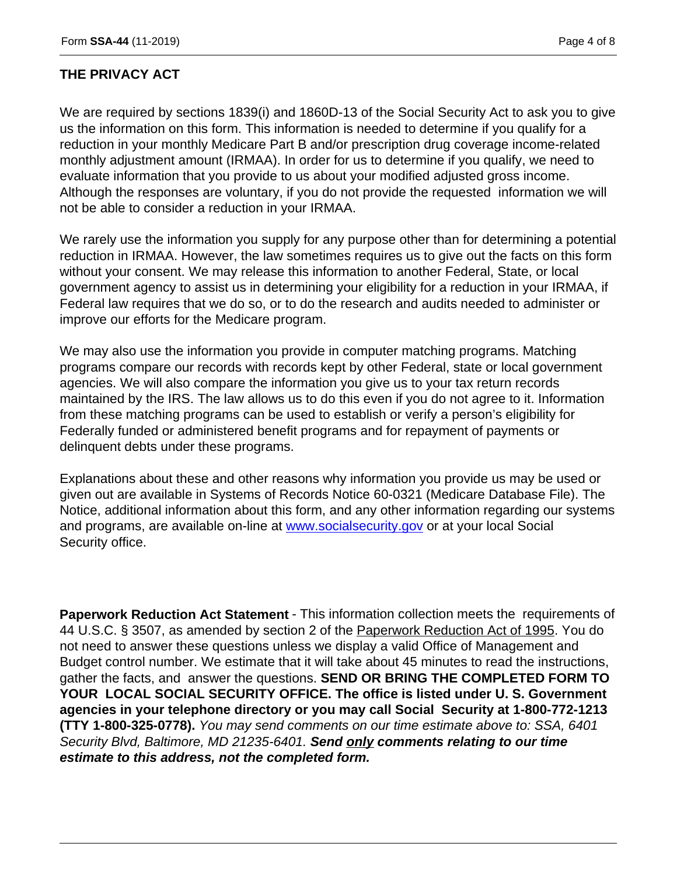### **THE PRIVACY ACT**

We are required by sections 1839(i) and 1860D-13 of the Social Security Act to ask you to give us the information on this form. This information is needed to determine if you qualify for a reduction in your monthly Medicare Part B and/or prescription drug coverage income-related monthly adjustment amount (IRMAA). In order for us to determine if you qualify, we need to evaluate information that you provide to us about your modified adjusted gross income. Although the responses are voluntary, if you do not provide the requested information we will not be able to consider a reduction in your IRMAA.

We rarely use the information you supply for any purpose other than for determining a potential reduction in IRMAA. However, the law sometimes requires us to give out the facts on this form without your consent. We may release this information to another Federal, State, or local government agency to assist us in determining your eligibility for a reduction in your IRMAA, if Federal law requires that we do so, or to do the research and audits needed to administer or improve our efforts for the Medicare program.

We may also use the information you provide in computer matching programs. Matching programs compare our records with records kept by other Federal, state or local government agencies. We will also compare the information you give us to your tax return records maintained by the IRS. The law allows us to do this even if you do not agree to it. Information from these matching programs can be used to establish or verify a person's eligibility for Federally funded or administered benefit programs and for repayment of payments or delinquent debts under these programs.

Explanations about these and other reasons why information you provide us may be used or given out are available in Systems of Records Notice 60-0321 (Medicare Database File). The Notice, additional information about this form, and any other information regarding our systems and programs, are available on-line at www.socialsecurity.gov or at your local Social Security office.

**Paperwork Reduction Act Statement** - This information collection meets the requirements of 44 U.S.C. § 3507, as amended by section 2 of the Paperwork Reduction Act of 1995. You do not need to answer these questions unless we display a valid Office of Management and Budget control number. We estimate that it will take about 45 minutes to read the instructions, gather the facts, and answer the questions. **SEND OR BRING THE COMPLETED FORM TO YOUR LOCAL SOCIAL SECURITY OFFICE. The office is listed under U. S. Government agencies in your telephone directory or you may call Social Security at 1-800-772-1213 (TTY 1-800-325-0778).** *You may send comments on our time estimate above to: SSA, 6401 Security Blvd, Baltimore, MD 21235-6401. Send only comments relating to our time estimate to this address, not the completed form.*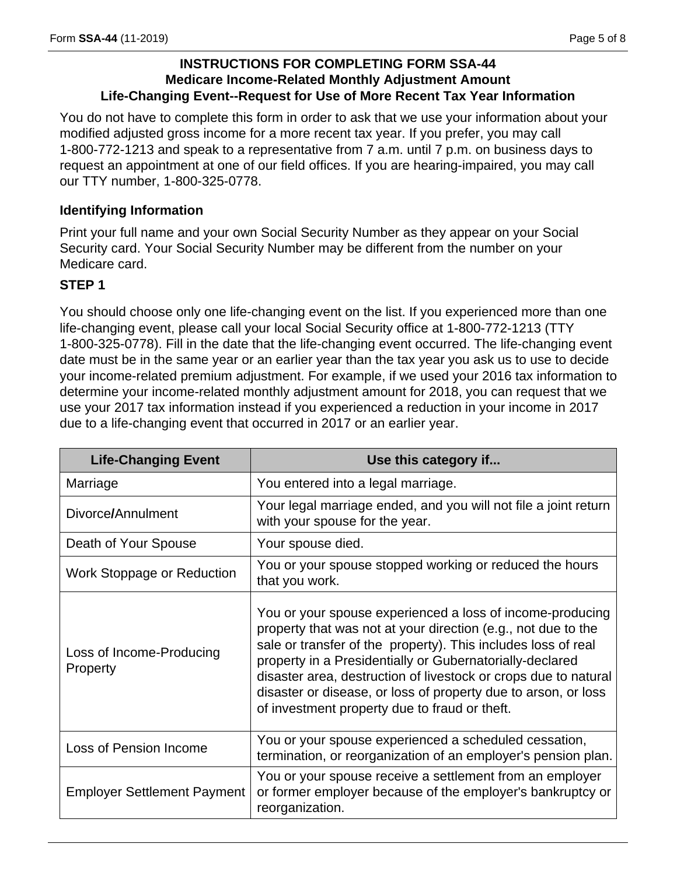### **INSTRUCTIONS FOR COMPLETING FORM SSA-44 Medicare Income-Related Monthly Adjustment Amount Life-Changing Event--Request for Use of More Recent Tax Year Information**

You do not have to complete this form in order to ask that we use your information about your modified adjusted gross income for a more recent tax year. If you prefer, you may call 1-800-772-1213 and speak to a representative from 7 a.m. until 7 p.m. on business days to request an appointment at one of our field offices. If you are hearing-impaired, you may call our TTY number, 1-800-325-0778.

### **Identifying Information**

Print your full name and your own Social Security Number as they appear on your Social Security card. Your Social Security Number may be different from the number on your Medicare card.

### **STEP 1**

You should choose only one life-changing event on the list. If you experienced more than one life-changing event, please call your local Social Security office at 1-800-772-1213 (TTY 1-800-325-0778). Fill in the date that the life-changing event occurred. The life-changing event date must be in the same year or an earlier year than the tax year you ask us to use to decide your income-related premium adjustment. For example, if we used your 2016 tax information to determine your income-related monthly adjustment amount for 2018, you can request that we use your 2017 tax information instead if you experienced a reduction in your income in 2017 due to a life-changing event that occurred in 2017 or an earlier year.

| <b>Life-Changing Event</b>           | Use this category if                                                                                                                                                                                                                                                                                                                                                                                                                          |
|--------------------------------------|-----------------------------------------------------------------------------------------------------------------------------------------------------------------------------------------------------------------------------------------------------------------------------------------------------------------------------------------------------------------------------------------------------------------------------------------------|
| Marriage                             | You entered into a legal marriage.                                                                                                                                                                                                                                                                                                                                                                                                            |
| Divorce/Annulment                    | Your legal marriage ended, and you will not file a joint return<br>with your spouse for the year.                                                                                                                                                                                                                                                                                                                                             |
| Death of Your Spouse                 | Your spouse died.                                                                                                                                                                                                                                                                                                                                                                                                                             |
| Work Stoppage or Reduction           | You or your spouse stopped working or reduced the hours<br>that you work.                                                                                                                                                                                                                                                                                                                                                                     |
| Loss of Income-Producing<br>Property | You or your spouse experienced a loss of income-producing<br>property that was not at your direction (e.g., not due to the<br>sale or transfer of the property). This includes loss of real<br>property in a Presidentially or Gubernatorially-declared<br>disaster area, destruction of livestock or crops due to natural<br>disaster or disease, or loss of property due to arson, or loss<br>of investment property due to fraud or theft. |
| Loss of Pension Income               | You or your spouse experienced a scheduled cessation,<br>termination, or reorganization of an employer's pension plan.                                                                                                                                                                                                                                                                                                                        |
| <b>Employer Settlement Payment</b>   | You or your spouse receive a settlement from an employer<br>or former employer because of the employer's bankruptcy or<br>reorganization.                                                                                                                                                                                                                                                                                                     |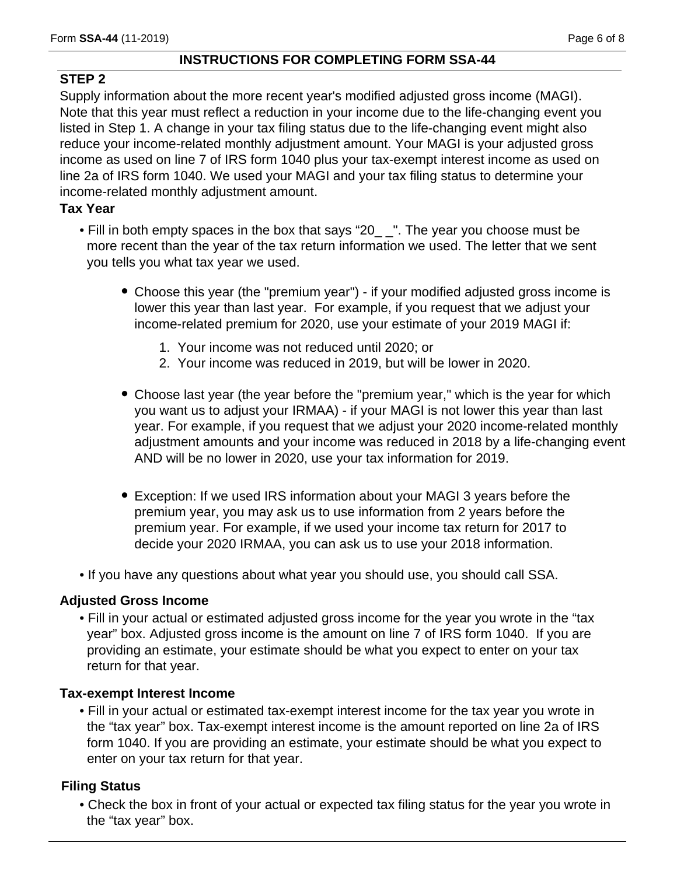### **INSTRUCTIONS FOR COMPLETING FORM SSA-44**

### **STEP 2**

Supply information about the more recent year's modified adjusted gross income (MAGI). Note that this year must reflect a reduction in your income due to the life-changing event you listed in Step 1. A change in your tax filing status due to the life-changing event might also reduce your income-related monthly adjustment amount. Your MAGI is your adjusted gross income as used on line 7 of IRS form 1040 plus your tax-exempt interest income as used on line 2a of IRS form 1040. We used your MAGI and your tax filing status to determine your income-related monthly adjustment amount.

### **Tax Year**

- Fill in both empty spaces in the box that says "20\_ \_". The year you choose must be more recent than the year of the tax return information we used. The letter that we sent you tells you what tax year we used.
	- Choose this year (the "premium year") if your modified adjusted gross income is lower this year than last year. For example, if you request that we adjust your income-related premium for 2020, use your estimate of your 2019 MAGI if:
		- 1. Your income was not reduced until 2020; or
		- 2. Your income was reduced in 2019, but will be lower in 2020.
	- Choose last year (the year before the "premium year," which is the year for which you want us to adjust your IRMAA) - if your MAGI is not lower this year than last year. For example, if you request that we adjust your 2020 income-related monthly adjustment amounts and your income was reduced in 2018 by a life-changing event AND will be no lower in 2020, use your tax information for 2019.
	- Exception: If we used IRS information about your MAGI 3 years before the premium year, you may ask us to use information from 2 years before the premium year. For example, if we used your income tax return for 2017 to decide your 2020 IRMAA, you can ask us to use your 2018 information.
- If you have any questions about what year you should use, you should call SSA.

### **Adjusted Gross Income**

• Fill in your actual or estimated adjusted gross income for the year you wrote in the "tax year" box. Adjusted gross income is the amount on line 7 of IRS form 1040. If you are providing an estimate, your estimate should be what you expect to enter on your tax return for that year.

### **Tax-exempt Interest Income**

• Fill in your actual or estimated tax-exempt interest income for the tax year you wrote in the "tax year" box. Tax-exempt interest income is the amount reported on line 2a of IRS form 1040. If you are providing an estimate, your estimate should be what you expect to enter on your tax return for that year.

### **Filing Status**

• Check the box in front of your actual or expected tax filing status for the year you wrote in the "tax year" box.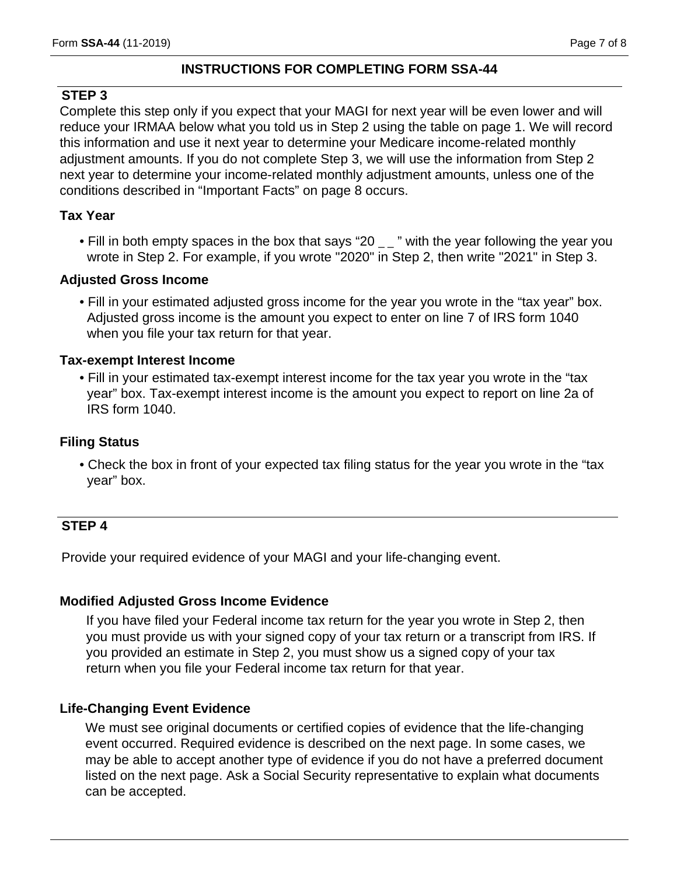#### **INSTRUCTIONS FOR COMPLETING FORM SSA-44**

#### **STEP 3**

Complete this step only if you expect that your MAGI for next year will be even lower and will reduce your IRMAA below what you told us in Step 2 using the table on page 1. We will record this information and use it next year to determine your Medicare income-related monthly adjustment amounts. If you do not complete Step 3, we will use the information from Step 2 next year to determine your income-related monthly adjustment amounts, unless one of the conditions described in "Important Facts" on page 8 occurs.

#### **Tax Year**

• Fill in both empty spaces in the box that says "20  $\mu$ " with the year following the year you wrote in Step 2. For example, if you wrote "2020" in Step 2, then write "2021" in Step 3.

#### **Adjusted Gross Income**

• Fill in your estimated adjusted gross income for the year you wrote in the "tax year" box. Adjusted gross income is the amount you expect to enter on line 7 of IRS form 1040 when you file your tax return for that year.

#### **Tax-exempt Interest Income**

• Fill in your estimated tax-exempt interest income for the tax year you wrote in the "tax year" box. Tax-exempt interest income is the amount you expect to report on line 2a of IRS form 1040.

### **Filing Status**

• Check the box in front of your expected tax filing status for the year you wrote in the "tax year" box.

### **STEP 4**

Provide your required evidence of your MAGI and your life-changing event.

#### **Modified Adjusted Gross Income Evidence**

If you have filed your Federal income tax return for the year you wrote in Step 2, then you must provide us with your signed copy of your tax return or a transcript from IRS. If you provided an estimate in Step 2, you must show us a signed copy of your tax return when you file your Federal income tax return for that year.

#### **Life-Changing Event Evidence**

We must see original documents or certified copies of evidence that the life-changing event occurred. Required evidence is described on the next page. In some cases, we may be able to accept another type of evidence if you do not have a preferred document listed on the next page. Ask a Social Security representative to explain what documents can be accepted.